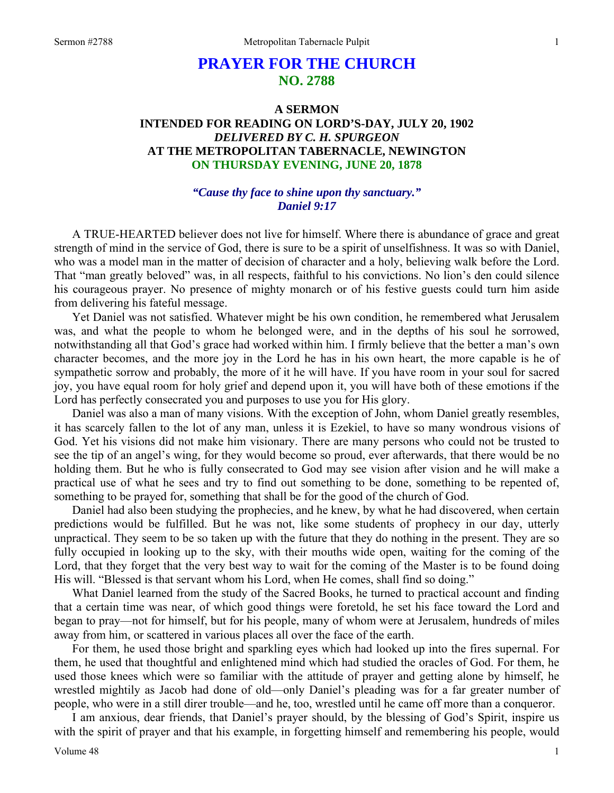# **PRAYER FOR THE CHURCH NO. 2788**

# **A SERMON INTENDED FOR READING ON LORD'S-DAY, JULY 20, 1902**  *DELIVERED BY C. H. SPURGEON*  **AT THE METROPOLITAN TABERNACLE, NEWINGTON ON THURSDAY EVENING, JUNE 20, 1878**

# *"Cause thy face to shine upon thy sanctuary." Daniel 9:17*

A TRUE-HEARTED believer does not live for himself. Where there is abundance of grace and great strength of mind in the service of God, there is sure to be a spirit of unselfishness. It was so with Daniel, who was a model man in the matter of decision of character and a holy, believing walk before the Lord. That "man greatly beloved" was, in all respects, faithful to his convictions. No lion's den could silence his courageous prayer. No presence of mighty monarch or of his festive guests could turn him aside from delivering his fateful message.

 Yet Daniel was not satisfied. Whatever might be his own condition, he remembered what Jerusalem was, and what the people to whom he belonged were, and in the depths of his soul he sorrowed, notwithstanding all that God's grace had worked within him. I firmly believe that the better a man's own character becomes, and the more joy in the Lord he has in his own heart, the more capable is he of sympathetic sorrow and probably, the more of it he will have. If you have room in your soul for sacred joy, you have equal room for holy grief and depend upon it, you will have both of these emotions if the Lord has perfectly consecrated you and purposes to use you for His glory.

 Daniel was also a man of many visions. With the exception of John, whom Daniel greatly resembles, it has scarcely fallen to the lot of any man, unless it is Ezekiel, to have so many wondrous visions of God. Yet his visions did not make him visionary. There are many persons who could not be trusted to see the tip of an angel's wing, for they would become so proud, ever afterwards, that there would be no holding them. But he who is fully consecrated to God may see vision after vision and he will make a practical use of what he sees and try to find out something to be done, something to be repented of, something to be prayed for, something that shall be for the good of the church of God.

 Daniel had also been studying the prophecies, and he knew, by what he had discovered, when certain predictions would be fulfilled. But he was not, like some students of prophecy in our day, utterly unpractical. They seem to be so taken up with the future that they do nothing in the present. They are so fully occupied in looking up to the sky, with their mouths wide open, waiting for the coming of the Lord, that they forget that the very best way to wait for the coming of the Master is to be found doing His will. "Blessed is that servant whom his Lord, when He comes, shall find so doing."

 What Daniel learned from the study of the Sacred Books, he turned to practical account and finding that a certain time was near, of which good things were foretold, he set his face toward the Lord and began to pray—not for himself, but for his people, many of whom were at Jerusalem, hundreds of miles away from him, or scattered in various places all over the face of the earth.

 For them, he used those bright and sparkling eyes which had looked up into the fires supernal. For them, he used that thoughtful and enlightened mind which had studied the oracles of God. For them, he used those knees which were so familiar with the attitude of prayer and getting alone by himself, he wrestled mightily as Jacob had done of old—only Daniel's pleading was for a far greater number of people, who were in a still direr trouble—and he, too, wrestled until he came off more than a conqueror.

 I am anxious, dear friends, that Daniel's prayer should, by the blessing of God's Spirit, inspire us with the spirit of prayer and that his example, in forgetting himself and remembering his people, would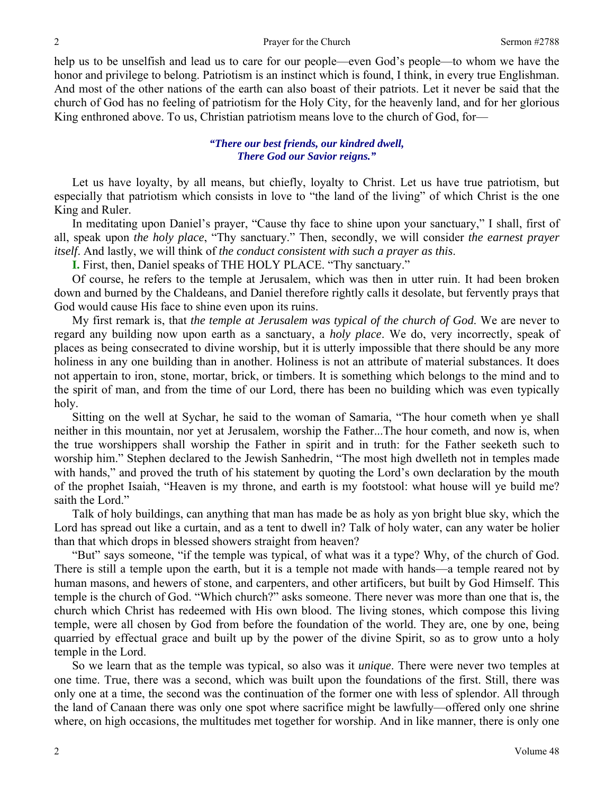help us to be unselfish and lead us to care for our people—even God's people—to whom we have the honor and privilege to belong. Patriotism is an instinct which is found, I think, in every true Englishman. And most of the other nations of the earth can also boast of their patriots. Let it never be said that the church of God has no feeling of patriotism for the Holy City, for the heavenly land, and for her glorious King enthroned above. To us, Christian patriotism means love to the church of God, for—

# *"There our best friends, our kindred dwell, There God our Savior reigns."*

Let us have loyalty, by all means, but chiefly, loyalty to Christ. Let us have true patriotism, but especially that patriotism which consists in love to "the land of the living" of which Christ is the one King and Ruler.

 In meditating upon Daniel's prayer, "Cause thy face to shine upon your sanctuary," I shall, first of all, speak upon *the holy place*, "Thy sanctuary." Then, secondly, we will consider *the earnest prayer itself*. And lastly, we will think of *the conduct consistent with such a prayer as this*.

**I.** First, then, Daniel speaks of THE HOLY PLACE. "Thy sanctuary."

 Of course, he refers to the temple at Jerusalem, which was then in utter ruin. It had been broken down and burned by the Chaldeans, and Daniel therefore rightly calls it desolate, but fervently prays that God would cause His face to shine even upon its ruins.

 My first remark is, that *the temple at Jerusalem was typical of the church of God*. We are never to regard any building now upon earth as a sanctuary, a *holy place*. We do, very incorrectly, speak of places as being consecrated to divine worship, but it is utterly impossible that there should be any more holiness in any one building than in another. Holiness is not an attribute of material substances. It does not appertain to iron, stone, mortar, brick, or timbers. It is something which belongs to the mind and to the spirit of man, and from the time of our Lord, there has been no building which was even typically holy.

 Sitting on the well at Sychar, he said to the woman of Samaria, "The hour cometh when ye shall neither in this mountain, nor yet at Jerusalem, worship the Father...The hour cometh, and now is, when the true worshippers shall worship the Father in spirit and in truth: for the Father seeketh such to worship him." Stephen declared to the Jewish Sanhedrin, "The most high dwelleth not in temples made with hands," and proved the truth of his statement by quoting the Lord's own declaration by the mouth of the prophet Isaiah, "Heaven is my throne, and earth is my footstool: what house will ye build me? saith the Lord."

 Talk of holy buildings, can anything that man has made be as holy as yon bright blue sky, which the Lord has spread out like a curtain, and as a tent to dwell in? Talk of holy water, can any water be holier than that which drops in blessed showers straight from heaven?

 "But" says someone, "if the temple was typical, of what was it a type? Why, of the church of God. There is still a temple upon the earth, but it is a temple not made with hands—a temple reared not by human masons, and hewers of stone, and carpenters, and other artificers, but built by God Himself. This temple is the church of God. "Which church?" asks someone. There never was more than one that is, the church which Christ has redeemed with His own blood. The living stones, which compose this living temple, were all chosen by God from before the foundation of the world. They are, one by one, being quarried by effectual grace and built up by the power of the divine Spirit, so as to grow unto a holy temple in the Lord.

 So we learn that as the temple was typical, so also was it *unique*. There were never two temples at one time. True, there was a second, which was built upon the foundations of the first. Still, there was only one at a time, the second was the continuation of the former one with less of splendor. All through the land of Canaan there was only one spot where sacrifice might be lawfully—offered only one shrine where, on high occasions, the multitudes met together for worship. And in like manner, there is only one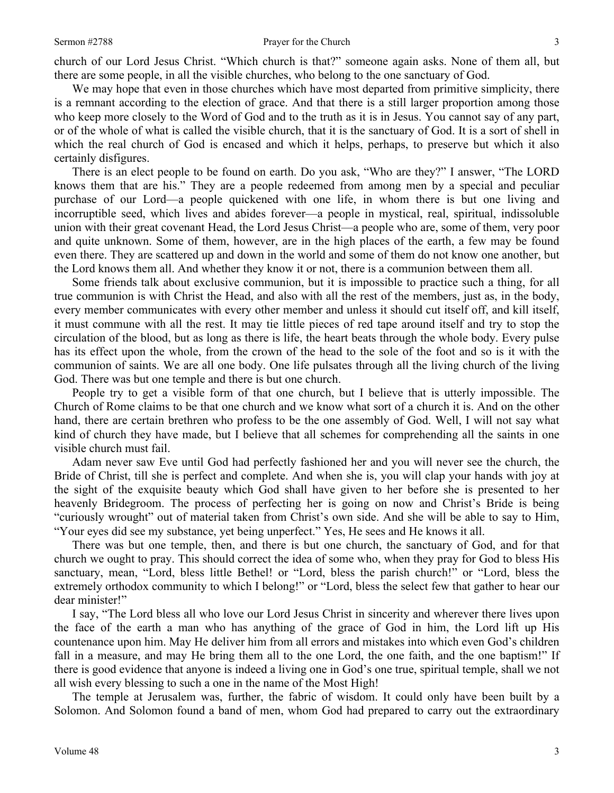church of our Lord Jesus Christ. "Which church is that?" someone again asks. None of them all, but there are some people, in all the visible churches, who belong to the one sanctuary of God.

We may hope that even in those churches which have most departed from primitive simplicity, there is a remnant according to the election of grace. And that there is a still larger proportion among those who keep more closely to the Word of God and to the truth as it is in Jesus. You cannot say of any part, or of the whole of what is called the visible church, that it is the sanctuary of God. It is a sort of shell in which the real church of God is encased and which it helps, perhaps, to preserve but which it also certainly disfigures.

 There is an elect people to be found on earth. Do you ask, "Who are they?" I answer, "The LORD knows them that are his." They are a people redeemed from among men by a special and peculiar purchase of our Lord—a people quickened with one life, in whom there is but one living and incorruptible seed, which lives and abides forever—a people in mystical, real, spiritual, indissoluble union with their great covenant Head, the Lord Jesus Christ—a people who are, some of them, very poor and quite unknown. Some of them, however, are in the high places of the earth, a few may be found even there. They are scattered up and down in the world and some of them do not know one another, but the Lord knows them all. And whether they know it or not, there is a communion between them all.

 Some friends talk about exclusive communion, but it is impossible to practice such a thing, for all true communion is with Christ the Head, and also with all the rest of the members, just as, in the body, every member communicates with every other member and unless it should cut itself off, and kill itself, it must commune with all the rest. It may tie little pieces of red tape around itself and try to stop the circulation of the blood, but as long as there is life, the heart beats through the whole body. Every pulse has its effect upon the whole, from the crown of the head to the sole of the foot and so is it with the communion of saints. We are all one body. One life pulsates through all the living church of the living God. There was but one temple and there is but one church.

 People try to get a visible form of that one church, but I believe that is utterly impossible. The Church of Rome claims to be that one church and we know what sort of a church it is. And on the other hand, there are certain brethren who profess to be the one assembly of God. Well, I will not say what kind of church they have made, but I believe that all schemes for comprehending all the saints in one visible church must fail.

 Adam never saw Eve until God had perfectly fashioned her and you will never see the church, the Bride of Christ, till she is perfect and complete. And when she is, you will clap your hands with joy at the sight of the exquisite beauty which God shall have given to her before she is presented to her heavenly Bridegroom. The process of perfecting her is going on now and Christ's Bride is being "curiously wrought" out of material taken from Christ's own side. And she will be able to say to Him, "Your eyes did see my substance, yet being unperfect." Yes, He sees and He knows it all.

 There was but one temple, then, and there is but one church, the sanctuary of God, and for that church we ought to pray. This should correct the idea of some who, when they pray for God to bless His sanctuary, mean, "Lord, bless little Bethel! or "Lord, bless the parish church!" or "Lord, bless the extremely orthodox community to which I belong!" or "Lord, bless the select few that gather to hear our dear minister!"

 I say, "The Lord bless all who love our Lord Jesus Christ in sincerity and wherever there lives upon the face of the earth a man who has anything of the grace of God in him, the Lord lift up His countenance upon him. May He deliver him from all errors and mistakes into which even God's children fall in a measure, and may He bring them all to the one Lord, the one faith, and the one baptism!" If there is good evidence that anyone is indeed a living one in God's one true, spiritual temple, shall we not all wish every blessing to such a one in the name of the Most High!

 The temple at Jerusalem was, further, the fabric of wisdom. It could only have been built by a Solomon. And Solomon found a band of men, whom God had prepared to carry out the extraordinary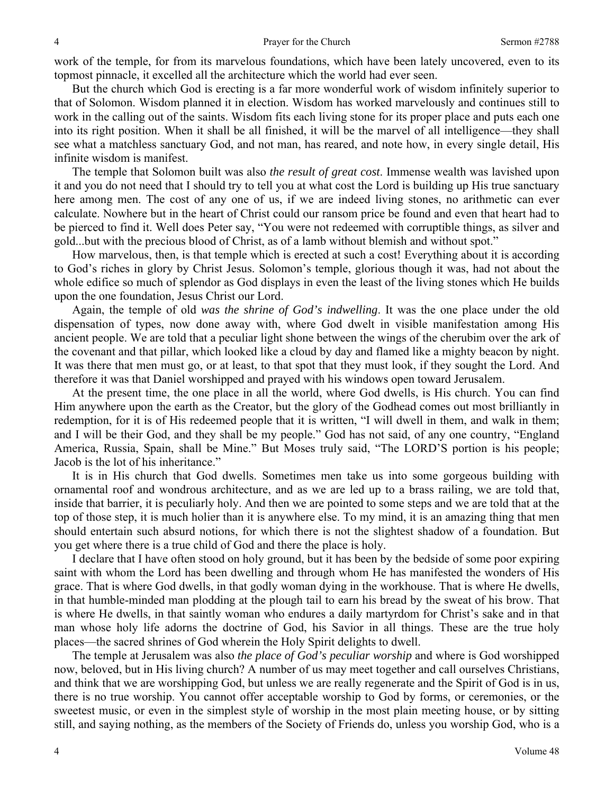work of the temple, for from its marvelous foundations, which have been lately uncovered, even to its topmost pinnacle, it excelled all the architecture which the world had ever seen.

 But the church which God is erecting is a far more wonderful work of wisdom infinitely superior to that of Solomon. Wisdom planned it in election. Wisdom has worked marvelously and continues still to work in the calling out of the saints. Wisdom fits each living stone for its proper place and puts each one into its right position. When it shall be all finished, it will be the marvel of all intelligence—they shall see what a matchless sanctuary God, and not man, has reared, and note how, in every single detail, His infinite wisdom is manifest.

 The temple that Solomon built was also *the result of great cost*. Immense wealth was lavished upon it and you do not need that I should try to tell you at what cost the Lord is building up His true sanctuary here among men. The cost of any one of us, if we are indeed living stones, no arithmetic can ever calculate. Nowhere but in the heart of Christ could our ransom price be found and even that heart had to be pierced to find it. Well does Peter say, "You were not redeemed with corruptible things, as silver and gold...but with the precious blood of Christ, as of a lamb without blemish and without spot."

 How marvelous, then, is that temple which is erected at such a cost! Everything about it is according to God's riches in glory by Christ Jesus. Solomon's temple, glorious though it was, had not about the whole edifice so much of splendor as God displays in even the least of the living stones which He builds upon the one foundation, Jesus Christ our Lord.

 Again, the temple of old *was the shrine of God's indwelling*. It was the one place under the old dispensation of types, now done away with, where God dwelt in visible manifestation among His ancient people. We are told that a peculiar light shone between the wings of the cherubim over the ark of the covenant and that pillar, which looked like a cloud by day and flamed like a mighty beacon by night. It was there that men must go, or at least, to that spot that they must look, if they sought the Lord. And therefore it was that Daniel worshipped and prayed with his windows open toward Jerusalem.

 At the present time, the one place in all the world, where God dwells, is His church. You can find Him anywhere upon the earth as the Creator, but the glory of the Godhead comes out most brilliantly in redemption, for it is of His redeemed people that it is written, "I will dwell in them, and walk in them; and I will be their God, and they shall be my people." God has not said, of any one country, "England America, Russia, Spain, shall be Mine." But Moses truly said, "The LORD'S portion is his people; Jacob is the lot of his inheritance."

 It is in His church that God dwells. Sometimes men take us into some gorgeous building with ornamental roof and wondrous architecture, and as we are led up to a brass railing, we are told that, inside that barrier, it is peculiarly holy. And then we are pointed to some steps and we are told that at the top of those step, it is much holier than it is anywhere else. To my mind, it is an amazing thing that men should entertain such absurd notions, for which there is not the slightest shadow of a foundation. But you get where there is a true child of God and there the place is holy.

 I declare that I have often stood on holy ground, but it has been by the bedside of some poor expiring saint with whom the Lord has been dwelling and through whom He has manifested the wonders of His grace. That is where God dwells, in that godly woman dying in the workhouse. That is where He dwells, in that humble-minded man plodding at the plough tail to earn his bread by the sweat of his brow. That is where He dwells, in that saintly woman who endures a daily martyrdom for Christ's sake and in that man whose holy life adorns the doctrine of God, his Savior in all things. These are the true holy places—the sacred shrines of God wherein the Holy Spirit delights to dwell.

 The temple at Jerusalem was also *the place of God's peculiar worship* and where is God worshipped now, beloved, but in His living church? A number of us may meet together and call ourselves Christians, and think that we are worshipping God, but unless we are really regenerate and the Spirit of God is in us, there is no true worship. You cannot offer acceptable worship to God by forms, or ceremonies, or the sweetest music, or even in the simplest style of worship in the most plain meeting house, or by sitting still, and saying nothing, as the members of the Society of Friends do, unless you worship God, who is a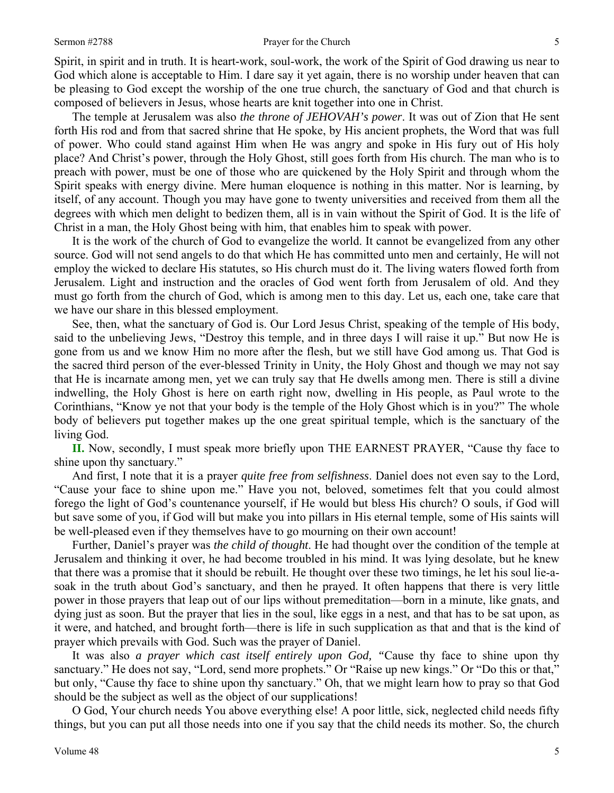#### Sermon #2788 **Prayer for the Church** 5

Spirit, in spirit and in truth. It is heart-work, soul-work, the work of the Spirit of God drawing us near to God which alone is acceptable to Him. I dare say it yet again, there is no worship under heaven that can be pleasing to God except the worship of the one true church, the sanctuary of God and that church is composed of believers in Jesus, whose hearts are knit together into one in Christ.

 The temple at Jerusalem was also *the throne of JEHOVAH's power*. It was out of Zion that He sent forth His rod and from that sacred shrine that He spoke, by His ancient prophets, the Word that was full of power. Who could stand against Him when He was angry and spoke in His fury out of His holy place? And Christ's power, through the Holy Ghost, still goes forth from His church. The man who is to preach with power, must be one of those who are quickened by the Holy Spirit and through whom the Spirit speaks with energy divine. Mere human eloquence is nothing in this matter. Nor is learning, by itself, of any account. Though you may have gone to twenty universities and received from them all the degrees with which men delight to bedizen them, all is in vain without the Spirit of God. It is the life of Christ in a man, the Holy Ghost being with him, that enables him to speak with power.

 It is the work of the church of God to evangelize the world. It cannot be evangelized from any other source. God will not send angels to do that which He has committed unto men and certainly, He will not employ the wicked to declare His statutes, so His church must do it. The living waters flowed forth from Jerusalem. Light and instruction and the oracles of God went forth from Jerusalem of old. And they must go forth from the church of God, which is among men to this day. Let us, each one, take care that we have our share in this blessed employment.

 See, then, what the sanctuary of God is. Our Lord Jesus Christ, speaking of the temple of His body, said to the unbelieving Jews, "Destroy this temple, and in three days I will raise it up." But now He is gone from us and we know Him no more after the flesh, but we still have God among us. That God is the sacred third person of the ever-blessed Trinity in Unity, the Holy Ghost and though we may not say that He is incarnate among men, yet we can truly say that He dwells among men. There is still a divine indwelling, the Holy Ghost is here on earth right now, dwelling in His people, as Paul wrote to the Corinthians, "Know ye not that your body is the temple of the Holy Ghost which is in you?" The whole body of believers put together makes up the one great spiritual temple, which is the sanctuary of the living God.

**II.** Now, secondly, I must speak more briefly upon THE EARNEST PRAYER, "Cause thy face to shine upon thy sanctuary."

 And first, I note that it is a prayer *quite free from selfishness*. Daniel does not even say to the Lord, "Cause your face to shine upon me." Have you not, beloved, sometimes felt that you could almost forego the light of God's countenance yourself, if He would but bless His church? O souls, if God will but save some of you, if God will but make you into pillars in His eternal temple, some of His saints will be well-pleased even if they themselves have to go mourning on their own account!

 Further, Daniel's prayer was *the child of thought*. He had thought over the condition of the temple at Jerusalem and thinking it over, he had become troubled in his mind. It was lying desolate, but he knew that there was a promise that it should be rebuilt. He thought over these two timings, he let his soul lie-asoak in the truth about God's sanctuary, and then he prayed. It often happens that there is very little power in those prayers that leap out of our lips without premeditation—born in a minute, like gnats, and dying just as soon. But the prayer that lies in the soul, like eggs in a nest, and that has to be sat upon, as it were, and hatched, and brought forth—there is life in such supplication as that and that is the kind of prayer which prevails with God. Such was the prayer of Daniel.

 It was also *a prayer which cast itself entirely upon God, "*Cause thy face to shine upon thy sanctuary." He does not say, "Lord, send more prophets." Or "Raise up new kings." Or "Do this or that," but only, "Cause thy face to shine upon thy sanctuary." Oh, that we might learn how to pray so that God should be the subject as well as the object of our supplications!

 O God, Your church needs You above everything else! A poor little, sick, neglected child needs fifty things, but you can put all those needs into one if you say that the child needs its mother. So, the church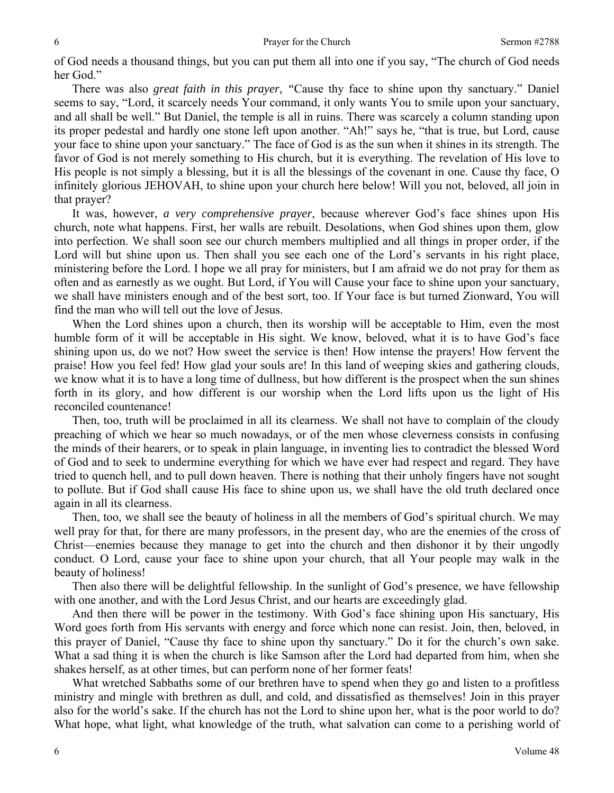of God needs a thousand things, but you can put them all into one if you say, "The church of God needs her God."

 There was also *great faith in this prayer, "*Cause thy face to shine upon thy sanctuary." Daniel seems to say, "Lord, it scarcely needs Your command, it only wants You to smile upon your sanctuary, and all shall be well." But Daniel, the temple is all in ruins. There was scarcely a column standing upon its proper pedestal and hardly one stone left upon another. "Ah!" says he, "that is true, but Lord, cause your face to shine upon your sanctuary." The face of God is as the sun when it shines in its strength. The favor of God is not merely something to His church, but it is everything. The revelation of His love to His people is not simply a blessing, but it is all the blessings of the covenant in one. Cause thy face, O infinitely glorious JEHOVAH, to shine upon your church here below! Will you not, beloved, all join in that prayer?

 It was, however, *a very comprehensive prayer*, because wherever God's face shines upon His church, note what happens. First, her walls are rebuilt. Desolations, when God shines upon them, glow into perfection. We shall soon see our church members multiplied and all things in proper order, if the Lord will but shine upon us. Then shall you see each one of the Lord's servants in his right place, ministering before the Lord. I hope we all pray for ministers, but I am afraid we do not pray for them as often and as earnestly as we ought. But Lord, if You will Cause your face to shine upon your sanctuary, we shall have ministers enough and of the best sort, too. If Your face is but turned Zionward, You will find the man who will tell out the love of Jesus.

 When the Lord shines upon a church, then its worship will be acceptable to Him, even the most humble form of it will be acceptable in His sight. We know, beloved, what it is to have God's face shining upon us, do we not? How sweet the service is then! How intense the prayers! How fervent the praise! How you feel fed! How glad your souls are! In this land of weeping skies and gathering clouds, we know what it is to have a long time of dullness, but how different is the prospect when the sun shines forth in its glory, and how different is our worship when the Lord lifts upon us the light of His reconciled countenance!

 Then, too, truth will be proclaimed in all its clearness. We shall not have to complain of the cloudy preaching of which we hear so much nowadays, or of the men whose cleverness consists in confusing the minds of their hearers, or to speak in plain language, in inventing lies to contradict the blessed Word of God and to seek to undermine everything for which we have ever had respect and regard. They have tried to quench hell, and to pull down heaven. There is nothing that their unholy fingers have not sought to pollute. But if God shall cause His face to shine upon us, we shall have the old truth declared once again in all its clearness.

 Then, too, we shall see the beauty of holiness in all the members of God's spiritual church. We may well pray for that, for there are many professors, in the present day, who are the enemies of the cross of Christ—enemies because they manage to get into the church and then dishonor it by their ungodly conduct. O Lord, cause your face to shine upon your church, that all Your people may walk in the beauty of holiness!

 Then also there will be delightful fellowship. In the sunlight of God's presence, we have fellowship with one another, and with the Lord Jesus Christ, and our hearts are exceedingly glad.

 And then there will be power in the testimony. With God's face shining upon His sanctuary, His Word goes forth from His servants with energy and force which none can resist. Join, then, beloved, in this prayer of Daniel, "Cause thy face to shine upon thy sanctuary." Do it for the church's own sake. What a sad thing it is when the church is like Samson after the Lord had departed from him, when she shakes herself, as at other times, but can perform none of her former feats!

 What wretched Sabbaths some of our brethren have to spend when they go and listen to a profitless ministry and mingle with brethren as dull, and cold, and dissatisfied as themselves! Join in this prayer also for the world's sake. If the church has not the Lord to shine upon her, what is the poor world to do? What hope, what light, what knowledge of the truth, what salvation can come to a perishing world of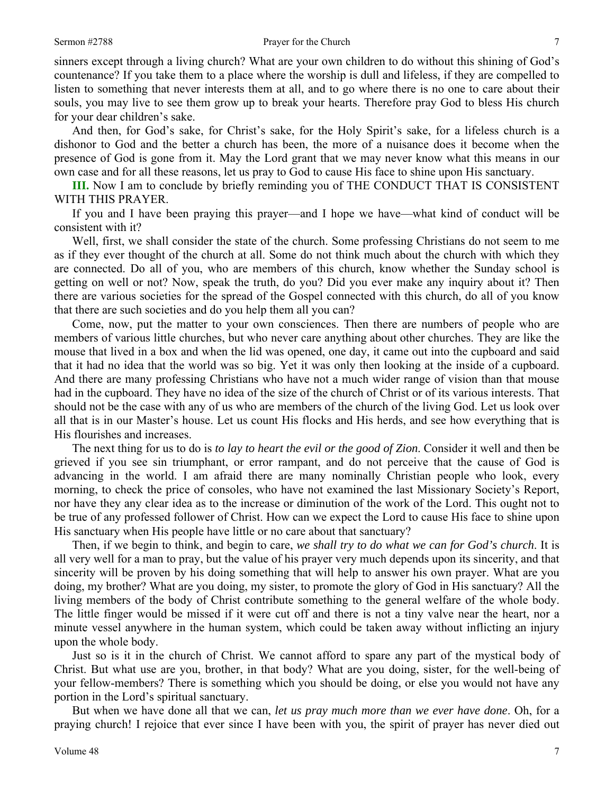sinners except through a living church? What are your own children to do without this shining of God's countenance? If you take them to a place where the worship is dull and lifeless, if they are compelled to listen to something that never interests them at all, and to go where there is no one to care about their souls, you may live to see them grow up to break your hearts. Therefore pray God to bless His church for your dear children's sake.

 And then, for God's sake, for Christ's sake, for the Holy Spirit's sake, for a lifeless church is a dishonor to God and the better a church has been, the more of a nuisance does it become when the presence of God is gone from it. May the Lord grant that we may never know what this means in our own case and for all these reasons, let us pray to God to cause His face to shine upon His sanctuary.

**III.** Now I am to conclude by briefly reminding you of THE CONDUCT THAT IS CONSISTENT WITH THIS PRAYER.

 If you and I have been praying this prayer—and I hope we have—what kind of conduct will be consistent with it?

 Well, first, we shall consider the state of the church. Some professing Christians do not seem to me as if they ever thought of the church at all. Some do not think much about the church with which they are connected. Do all of you, who are members of this church, know whether the Sunday school is getting on well or not? Now, speak the truth, do you? Did you ever make any inquiry about it? Then there are various societies for the spread of the Gospel connected with this church, do all of you know that there are such societies and do you help them all you can?

 Come, now, put the matter to your own consciences. Then there are numbers of people who are members of various little churches, but who never care anything about other churches. They are like the mouse that lived in a box and when the lid was opened, one day, it came out into the cupboard and said that it had no idea that the world was so big. Yet it was only then looking at the inside of a cupboard. And there are many professing Christians who have not a much wider range of vision than that mouse had in the cupboard. They have no idea of the size of the church of Christ or of its various interests. That should not be the case with any of us who are members of the church of the living God. Let us look over all that is in our Master's house. Let us count His flocks and His herds, and see how everything that is His flourishes and increases.

 The next thing for us to do is *to lay to heart the evil or the good of Zion*. Consider it well and then be grieved if you see sin triumphant, or error rampant, and do not perceive that the cause of God is advancing in the world. I am afraid there are many nominally Christian people who look, every morning, to check the price of consoles, who have not examined the last Missionary Society's Report, nor have they any clear idea as to the increase or diminution of the work of the Lord. This ought not to be true of any professed follower of Christ. How can we expect the Lord to cause His face to shine upon His sanctuary when His people have little or no care about that sanctuary?

 Then, if we begin to think, and begin to care, *we shall try to do what we can for God's church*. It is all very well for a man to pray, but the value of his prayer very much depends upon its sincerity, and that sincerity will be proven by his doing something that will help to answer his own prayer. What are you doing, my brother? What are you doing, my sister, to promote the glory of God in His sanctuary? All the living members of the body of Christ contribute something to the general welfare of the whole body. The little finger would be missed if it were cut off and there is not a tiny valve near the heart, nor a minute vessel anywhere in the human system, which could be taken away without inflicting an injury upon the whole body.

 Just so is it in the church of Christ. We cannot afford to spare any part of the mystical body of Christ. But what use are you, brother, in that body? What are you doing, sister, for the well-being of your fellow-members? There is something which you should be doing, or else you would not have any portion in the Lord's spiritual sanctuary.

 But when we have done all that we can, *let us pray much more than we ever have done*. Oh, for a praying church! I rejoice that ever since I have been with you, the spirit of prayer has never died out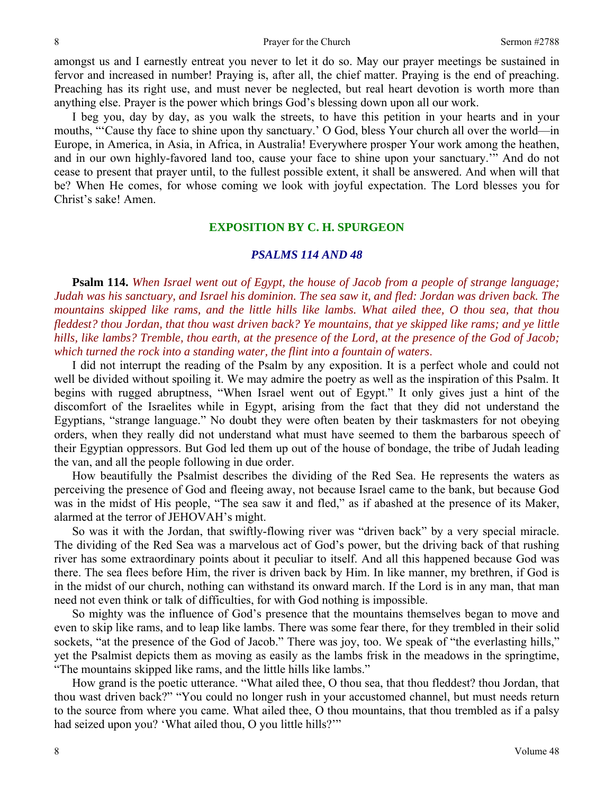8 **8** Prayer for the Church Sermon #2788

amongst us and I earnestly entreat you never to let it do so. May our prayer meetings be sustained in fervor and increased in number! Praying is, after all, the chief matter. Praying is the end of preaching. Preaching has its right use, and must never be neglected, but real heart devotion is worth more than anything else. Prayer is the power which brings God's blessing down upon all our work.

 I beg you, day by day, as you walk the streets, to have this petition in your hearts and in your mouths, "'Cause thy face to shine upon thy sanctuary.' O God, bless Your church all over the world—in Europe, in America, in Asia, in Africa, in Australia! Everywhere prosper Your work among the heathen, and in our own highly-favored land too, cause your face to shine upon your sanctuary.'" And do not cease to present that prayer until, to the fullest possible extent, it shall be answered. And when will that be? When He comes, for whose coming we look with joyful expectation. The Lord blesses you for Christ's sake! Amen.

## **EXPOSITION BY C. H. SPURGEON**

## *PSALMS 114 AND 48*

**Psalm 114.** *When Israel went out of Egypt, the house of Jacob from a people of strange language; Judah was his sanctuary, and Israel his dominion. The sea saw it, and fled: Jordan was driven back. The mountains skipped like rams, and the little hills like lambs. What ailed thee, O thou sea, that thou fleddest? thou Jordan, that thou wast driven back? Ye mountains, that ye skipped like rams; and ye little hills, like lambs? Tremble, thou earth, at the presence of the Lord, at the presence of the God of Jacob; which turned the rock into a standing water, the flint into a fountain of waters*.

 I did not interrupt the reading of the Psalm by any exposition. It is a perfect whole and could not well be divided without spoiling it. We may admire the poetry as well as the inspiration of this Psalm. It begins with rugged abruptness, "When Israel went out of Egypt." It only gives just a hint of the discomfort of the Israelites while in Egypt, arising from the fact that they did not understand the Egyptians, "strange language." No doubt they were often beaten by their taskmasters for not obeying orders, when they really did not understand what must have seemed to them the barbarous speech of their Egyptian oppressors. But God led them up out of the house of bondage, the tribe of Judah leading the van, and all the people following in due order.

 How beautifully the Psalmist describes the dividing of the Red Sea. He represents the waters as perceiving the presence of God and fleeing away, not because Israel came to the bank, but because God was in the midst of His people, "The sea saw it and fled," as if abashed at the presence of its Maker, alarmed at the terror of JEHOVAH's might.

 So was it with the Jordan, that swiftly-flowing river was "driven back" by a very special miracle. The dividing of the Red Sea was a marvelous act of God's power, but the driving back of that rushing river has some extraordinary points about it peculiar to itself. And all this happened because God was there. The sea flees before Him, the river is driven back by Him. In like manner, my brethren, if God is in the midst of our church, nothing can withstand its onward march. If the Lord is in any man, that man need not even think or talk of difficulties, for with God nothing is impossible.

 So mighty was the influence of God's presence that the mountains themselves began to move and even to skip like rams, and to leap like lambs. There was some fear there, for they trembled in their solid sockets, "at the presence of the God of Jacob." There was joy, too. We speak of "the everlasting hills," yet the Psalmist depicts them as moving as easily as the lambs frisk in the meadows in the springtime, "The mountains skipped like rams, and the little hills like lambs."

 How grand is the poetic utterance. "What ailed thee, O thou sea, that thou fleddest? thou Jordan, that thou wast driven back?" "You could no longer rush in your accustomed channel, but must needs return to the source from where you came. What ailed thee, O thou mountains, that thou trembled as if a palsy had seized upon you? 'What ailed thou, O you little hills?'"